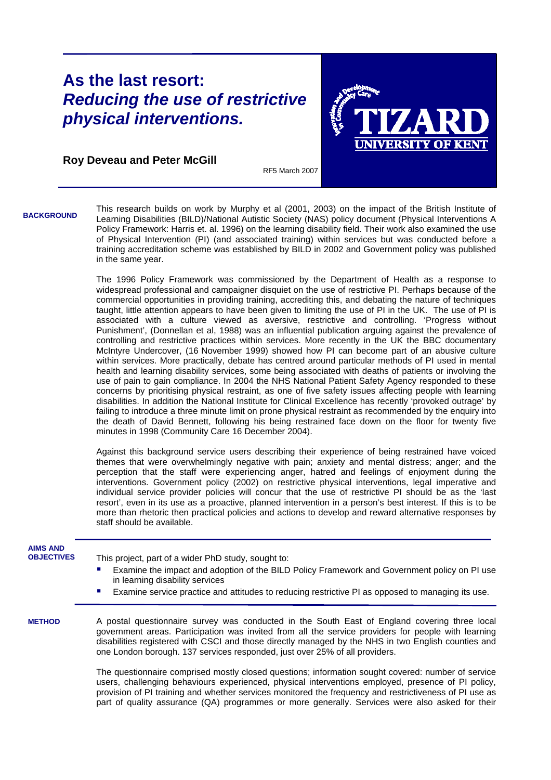## **As the last resort:**  *Reducing the use of restrictive physical interventions.*



**Roy Deveau and Peter McGill** 

RF5 March 2007

This research builds on work by Murphy et al (2001, 2003) on the impact of the British Institute of Learning Disabilities (BILD)/National Autistic Society (NAS) policy document (Physical Interventions A Policy Framework: Harris et. al. 1996) on the learning disability field. Their work also examined the use of Physical Intervention (PI) (and associated training) within services but was conducted before a training accreditation scheme was established by BILD in 2002 and Government policy was published in the same year. **BACKGROUND**

> The 1996 Policy Framework was commissioned by the Department of Health as a response to widespread professional and campaigner disquiet on the use of restrictive PI. Perhaps because of the commercial opportunities in providing training, accrediting this, and debating the nature of techniques taught, little attention appears to have been given to limiting the use of PI in the UK. The use of PI is associated with a culture viewed as aversive, restrictive and controlling. 'Progress without Punishment', (Donnellan et al, 1988) was an influential publication arguing against the prevalence of controlling and restrictive practices within services. More recently in the UK the BBC documentary McIntyre Undercover, (16 November 1999) showed how PI can become part of an abusive culture within services. More practically, debate has centred around particular methods of PI used in mental health and learning disability services, some being associated with deaths of patients or involving the use of pain to gain compliance. In 2004 the NHS National Patient Safety Agency responded to these concerns by prioritising physical restraint, as one of five safety issues affecting people with learning disabilities. In addition the National Institute for Clinical Excellence has recently 'provoked outrage' by failing to introduce a three minute limit on prone physical restraint as recommended by the enquiry into the death of David Bennett, following his being restrained face down on the floor for twenty five minutes in 1998 (Community Care 16 December 2004).

> Against this background service users describing their experience of being restrained have voiced themes that were overwhelmingly negative with pain; anxiety and mental distress; anger; and the perception that the staff were experiencing anger, hatred and feelings of enjoyment during the interventions. Government policy (2002) on restrictive physical interventions, legal imperative and individual service provider policies will concur that the use of restrictive PI should be as the 'last resort', even in its use as a proactive, planned intervention in a person's best interest. If this is to be more than rhetoric then practical policies and actions to develop and reward alternative responses by staff should be available.

| <b>AIMS AND</b><br><b>OBJECTIVES</b> | This project, part of a wider PhD study, sought to:                                                                                                                                                                                                                                                                                                                                        |
|--------------------------------------|--------------------------------------------------------------------------------------------------------------------------------------------------------------------------------------------------------------------------------------------------------------------------------------------------------------------------------------------------------------------------------------------|
|                                      | Examine the impact and adoption of the BILD Policy Framework and Government policy on PI use<br>$\blacksquare$<br>in learning disability services                                                                                                                                                                                                                                          |
|                                      | <b>Examine service practice and attitudes to reducing restrictive PI as opposed to managing its use.</b>                                                                                                                                                                                                                                                                                   |
| <b>METHOD</b>                        | A postal questionnaire survey was conducted in the South East of England covering three local<br>government areas. Participation was invited from all the service providers for people with learning<br>disabilities registered with CSCI and those directly managed by the NHS in two English counties and<br>one London borough. 137 services responded, just over 25% of all providers. |
|                                      | The questionnaire comprised mostly closed questions; information sought covered: number of service<br>users, challenging behaviours experienced, physical interventions employed, presence of PI policy,<br>$\mathcal{L}$ . The contract of the contract of the contract of the contract of the contract of $\mathcal{L}$                                                                  |

provision of PI training and whether services monitored the frequency and restrictiveness of PI use as part of quality assurance (QA) programmes or more generally. Services were also asked for their